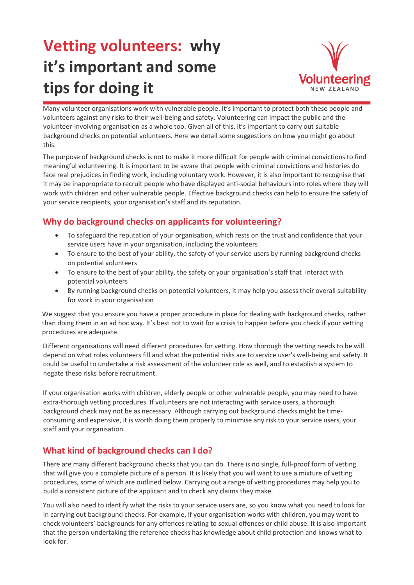## **Vetting volunteers: why it's important and some tips for doing it**



Many volunteer organisations work with vulnerable people. It's important to protect both these people and volunteers against any risks to their well-being and safety. Volunteering can impact the public and the volunteer-involving organisation as a whole too. Given all of this, it's important to carry out suitable background checks on potential volunteers. Here we detail some suggestions on how you might go about this.

The purpose of background checks is not to make it more difficult for people with criminal convictions to find meaningful volunteering. It is important to be aware that people with criminal convictions and histories do face real prejudices in finding work, including voluntary work. However, it is also important to recognise that it may be inappropriate to recruit people who have displayed anti-social behaviours into roles where they will work with children and other vulnerable people. Effective background checks can help to ensure the safety of your service recipients, your organisation's staff and its reputation.

## **Why do background checks on applicants for volunteering?**

- To safeguard the reputation of your organisation, which rests on the trust and confidence that your service users have in your organisation, including the volunteers
- To ensure to the best of your ability, the safety of your service users by running background checks on potential volunteers
- To ensure to the best of your ability, the safety or your organisation's staff that interact with potential volunteers
- By running background checks on potential volunteers, it may help you assess their overall suitability for work in your organisation

We suggest that you ensure you have a proper procedure in place for dealing with background checks, rather than doing them in an ad hoc way. It's best not to wait for a crisis to happen before you check if your vetting procedures are adequate.

Different organisations will need different procedures for vetting. How thorough the vetting needs to be will depend on what roles volunteers fill and what the potential risks are to service user's well-being and safety. It could be useful to undertake a risk assessment of the volunteer role as well, and to establish a system to negate these risks before recruitment.

If your organisation works with children, elderly people or other vulnerable people, you may need to have extra-thorough vetting procedures. If volunteers are not interacting with service users, a thorough background check may not be as necessary. Although carrying out background checks might be timeconsuming and expensive, it is worth doing them properly to minimise any risk to your service users, your staff and your organisation.

## **What kind of background checks can I do?**

There are many different background checks that you can do. There is no single, full-proof form of vetting that will give you a complete picture of a person. It is likely that you will want to use a mixture of vetting procedures, some of which are outlined below. Carrying out a range of vetting procedures may help you to build a consistent picture of the applicant and to check any claims they make.

You will also need to identify what the risks to your service users are, so you know what you need to look for in carrying out background checks. For example, if your organisation works with children, you may want to check volunteers' backgrounds for any offences relating to sexual offences or child abuse. It is also important that the person undertaking the reference checks has knowledge about child protection and knows what to look for.